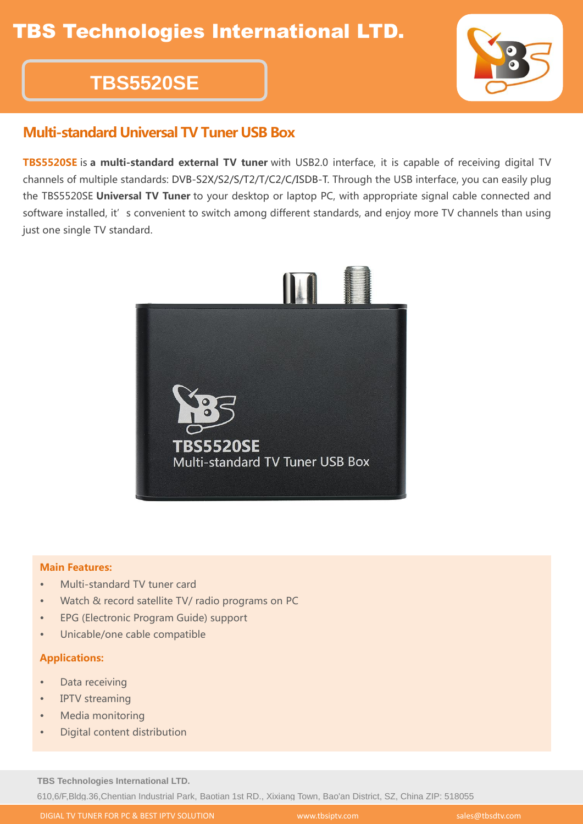# **TBS5520SE**

### Multi-standard Universal TV Tuner USB Box

TBS5520SE is a multi-standard external TV tuner with USB2.0 interface, it is capable of receiving digital TV channels of multiple standards: DVB-S2X/S2/S/T2/T/C2/C/ISDB-T. Through the USB interface, you can easily plug the TBS5520SE Universal TV Tuner to your desktop or laptop PC, with appropriate signal cable connected and software installed, it' s convenient to switch among different standards, and enjoy more TV channels than using just one single TV standard.



#### Main Features:

- Multi-standard TV tuner card
- Watch & record satellite TV/ radio programs on PC
- EPG (Electronic Program Guide) support
- Unicable/one cable compatible

#### Applications:

- Data receiving
- IPTV streaming
- Media monitoring
- Digital content distribution

**TBS Technologies International LTD.** 610,6/F,Bldg.36,Chentian Industrial Park, Baotian 1st RD., Xixiang Town, Bao'an District, SZ, China ZIP: 518055

DIGIAL TV TUNER FOR PC & BEST IPTV SOLUTION WWW.tbsiptv.com sales@tbsdtv.com sales@tbsdtv.com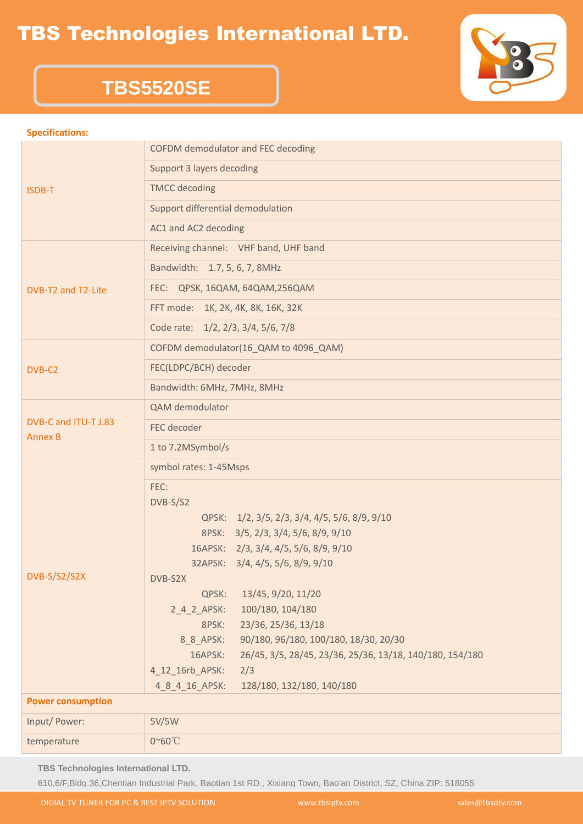### TBS Technologies International LTD.



## **TBS5520SE**

#### **Specifications:**

| ISDB-T                                 | COFDM demodulator and FEC decoding                                  |  |
|----------------------------------------|---------------------------------------------------------------------|--|
|                                        | Support 3 layers decoding                                           |  |
|                                        | <b>TMCC</b> decoding                                                |  |
|                                        | Support differential demodulation                                   |  |
|                                        | AC1 and AC2 decoding                                                |  |
| DVB-T2 and T2-Lite                     | Receiving channel: VHF band, UHF band                               |  |
|                                        | Bandwidth: 1.7, 5, 6, 7, 8MHz                                       |  |
|                                        | FEC: QPSK, 16QAM, 64QAM, 256QAM                                     |  |
|                                        | FFT mode: 1K, 2K, 4K, 8K, 16K, 32K                                  |  |
|                                        | Code rate: 1/2, 2/3, 3/4, 5/6, 7/8                                  |  |
| DVB-C2                                 | COFDM demodulator(16 QAM to 4096 QAM)                               |  |
|                                        | FEC(LDPC/BCH) decoder                                               |  |
|                                        | Bandwidth: 6MHz, 7MHz, 8MHz                                         |  |
| DVB-C and ITU-T J.83<br><b>Annex B</b> | QAM demodulator                                                     |  |
|                                        | FEC decoder                                                         |  |
|                                        | 1 to 7.2MSymbol/s                                                   |  |
| DVB-S/S2/S2X                           | symbol rates: 1-45Msps                                              |  |
|                                        | FEC:                                                                |  |
|                                        | DVB-S/S2                                                            |  |
|                                        | QPSK: 1/2, 3/5, 2/3, 3/4, 4/5, 5/6, 8/9, 9/10                       |  |
|                                        | 8PSK: 3/5, 2/3, 3/4, 5/6, 8/9, 9/10                                 |  |
|                                        | 16APSK: 2/3, 3/4, 4/5, 5/6, 8/9, 9/10                               |  |
|                                        | 32APSK: 3/4, 4/5, 5/6, 8/9, 9/10                                    |  |
|                                        | DVB-S2X                                                             |  |
|                                        | QPSK:<br>13/45, 9/20, 11/20                                         |  |
|                                        | 100/180, 104/180<br>$2_4_2_$ APSK:                                  |  |
|                                        | 23/36, 25/36, 13/18<br>8PSK:                                        |  |
|                                        | 90/180, 96/180, 100/180, 18/30, 20/30<br>8_8_APSK:                  |  |
|                                        | 16APSK:<br>26/45, 3/5, 28/45, 23/36, 25/36, 13/18, 140/180, 154/180 |  |
|                                        | 4_12_16rb_APSK:<br>2/3                                              |  |
|                                        | 48416APSK:<br>128/180, 132/180, 140/180                             |  |
| <b>Power consumption</b>               |                                                                     |  |
| Input/ Power:                          | 5V/5W                                                               |  |
| temperature                            | 0~60°C                                                              |  |

**TBS Technologies International LTD.**

610,6/F,Bldg.36,Chentian Industrial Park, Baotian 1st RD., Xixiang Town, Bao'an District, SZ, China ZIP: 518055